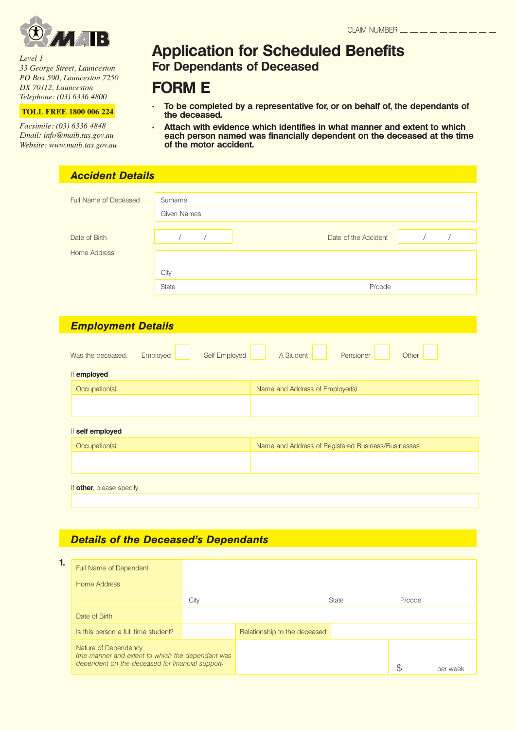

*Level 1 33 George Street, Launceston PO Box 590, Launceston 7250 DX 70112, Launceston Telephone: (03) 6336 4800*

**TOLL FREE 1800 006 224**

*Facsimile: (03) 6336 4848 Email: info@maib.tas.gov.au Website: www.maib.tas.gov.au*

# **Application for Scheduled Benefits For Dependants of Deceased**

# **FORM E**

- To be completed by a representative for, or on behalf of, the dependants of **the deceased.**
- Attach with evidence which identifies in what manner and extent to which **each person named was financially dependent on the deceased at the time of the motor accident.**

|                                                      | <b>Accident Details</b> |               |                                                    |                              |  |
|------------------------------------------------------|-------------------------|---------------|----------------------------------------------------|------------------------------|--|
| Full Name of Deceased                                | Sumame                  |               |                                                    |                              |  |
|                                                      | <b>Given Names</b>      |               |                                                    |                              |  |
| Date of Birth                                        | $\sqrt{2}$              | $\sqrt{2}$    | Date of the Accident                               | $\overline{ }$<br>$\sqrt{2}$ |  |
| <b>Home Address</b>                                  |                         |               |                                                    |                              |  |
|                                                      |                         |               |                                                    |                              |  |
|                                                      | City<br>State           |               | P/code                                             |                              |  |
|                                                      |                         |               |                                                    |                              |  |
|                                                      |                         |               |                                                    |                              |  |
| <b>Employment Details</b>                            |                         |               |                                                    |                              |  |
|                                                      |                         |               |                                                    |                              |  |
|                                                      | Employed                | Self Employed | A Student<br>Pensioner                             | Other                        |  |
| Occupation(s)                                        |                         |               | Name and Address of Employer(s)                    |                              |  |
|                                                      |                         |               |                                                    |                              |  |
|                                                      |                         |               |                                                    |                              |  |
| Occupation(s)                                        |                         |               | Name and Address of Registered Business/Businesses |                              |  |
| Was the deceased:<br>If employed<br>If self employed |                         |               |                                                    |                              |  |

## **Details of the Deceased's Dependants**

| 1. | Full Name of Dependant                                                                                                        |      |                              |       |        |          |
|----|-------------------------------------------------------------------------------------------------------------------------------|------|------------------------------|-------|--------|----------|
|    | Home Address                                                                                                                  |      |                              |       |        |          |
|    |                                                                                                                               | City |                              | State | P/code |          |
|    | Date of Birth                                                                                                                 |      |                              |       |        |          |
|    | Is this person a full time student?                                                                                           |      | Relationship to the deceased |       |        |          |
|    | Nature of Dependency<br>(the manner and extent to which the dependant was<br>dependent on the deceased for financial support) |      |                              |       |        | per week |